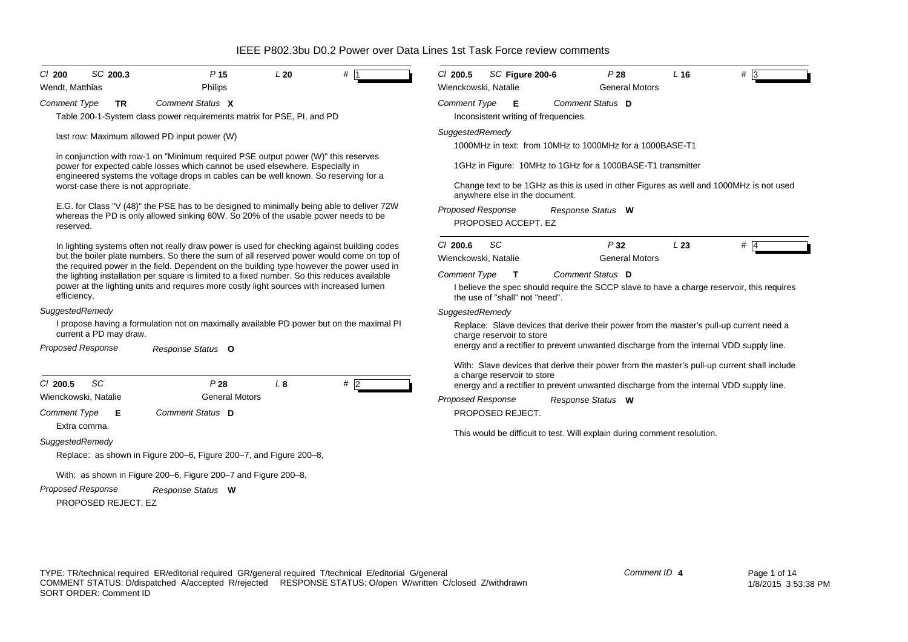| $CI$ 200                                                                                        |    | SC 200.3               |                                                                                                                                                                                                                                                             | P <sub>15</sub>       | L20 | $#$ 1                                                                                                                                                                                  | $Cl$ 200.5                                                                                                                                                                                                      | SC Figure 200-6                                                                                                                                                            |  | P28                                                                      | $L$ 16 | $# \sqrt{3}$                                                                                |  |  |  |  |
|-------------------------------------------------------------------------------------------------|----|------------------------|-------------------------------------------------------------------------------------------------------------------------------------------------------------------------------------------------------------------------------------------------------------|-----------------------|-----|----------------------------------------------------------------------------------------------------------------------------------------------------------------------------------------|-----------------------------------------------------------------------------------------------------------------------------------------------------------------------------------------------------------------|----------------------------------------------------------------------------------------------------------------------------------------------------------------------------|--|--------------------------------------------------------------------------|--------|---------------------------------------------------------------------------------------------|--|--|--|--|
| Wendt. Matthias                                                                                 |    |                        |                                                                                                                                                                                                                                                             | Philips               |     |                                                                                                                                                                                        | Wienckowski, Natalie                                                                                                                                                                                            |                                                                                                                                                                            |  | <b>General Motors</b>                                                    |        |                                                                                             |  |  |  |  |
| <b>Comment Type</b>                                                                             |    | <b>TR</b>              | Comment Status X                                                                                                                                                                                                                                            |                       |     |                                                                                                                                                                                        | <b>Comment Type</b>                                                                                                                                                                                             | - E                                                                                                                                                                        |  | Comment Status D                                                         |        |                                                                                             |  |  |  |  |
|                                                                                                 |    |                        | Table 200-1-System class power requirements matrix for PSE, PI, and PD                                                                                                                                                                                      |                       |     |                                                                                                                                                                                        |                                                                                                                                                                                                                 | Inconsistent writing of frequencies.                                                                                                                                       |  |                                                                          |        |                                                                                             |  |  |  |  |
|                                                                                                 |    |                        | last row: Maximum allowed PD input power (W)                                                                                                                                                                                                                |                       |     |                                                                                                                                                                                        | SuggestedRemedy<br>1000MHz in text: from 10MHz to 1000MHz for a 1000BASE-T1                                                                                                                                     |                                                                                                                                                                            |  |                                                                          |        |                                                                                             |  |  |  |  |
|                                                                                                 |    |                        | in conjunction with row-1 on "Minimum required PSE output power (W)" this reserves<br>power for expected cable losses which cannot be used elsewhere. Especially in<br>engineered systems the voltage drops in cables can be well known. So reserving for a |                       |     |                                                                                                                                                                                        | 1GHz in Figure: 10MHz to 1GHz for a 1000BASE-T1 transmitter                                                                                                                                                     |                                                                                                                                                                            |  |                                                                          |        |                                                                                             |  |  |  |  |
|                                                                                                 |    |                        | worst-case there is not appropriate.                                                                                                                                                                                                                        |                       |     |                                                                                                                                                                                        |                                                                                                                                                                                                                 | Change text to be 1GHz as this is used in other Figures as well and 1000MHz is not used<br>anywhere else in the document.<br><b>Proposed Response</b><br>Response Status W |  |                                                                          |        |                                                                                             |  |  |  |  |
|                                                                                                 |    |                        |                                                                                                                                                                                                                                                             |                       |     | E.G. for Class "V (48)" the PSE has to be designed to minimally being able to deliver 72W                                                                                              |                                                                                                                                                                                                                 |                                                                                                                                                                            |  |                                                                          |        |                                                                                             |  |  |  |  |
| whereas the PD is only allowed sinking 60W. So 20% of the usable power needs to be<br>reserved. |    |                        |                                                                                                                                                                                                                                                             |                       |     |                                                                                                                                                                                        | PROPOSED ACCEPT. EZ                                                                                                                                                                                             |                                                                                                                                                                            |  |                                                                          |        |                                                                                             |  |  |  |  |
|                                                                                                 |    |                        |                                                                                                                                                                                                                                                             |                       |     | In lighting systems often not really draw power is used for checking against building codes                                                                                            | $Cl$ 200.6                                                                                                                                                                                                      | SC                                                                                                                                                                         |  | P32                                                                      | L23    | $#$ 4                                                                                       |  |  |  |  |
|                                                                                                 |    |                        |                                                                                                                                                                                                                                                             |                       |     | but the boiler plate numbers. So there the sum of all reserved power would come on top of<br>the required power in the field. Dependent on the building type however the power used in | Wienckowski, Natalie                                                                                                                                                                                            |                                                                                                                                                                            |  | <b>General Motors</b>                                                    |        |                                                                                             |  |  |  |  |
|                                                                                                 |    |                        |                                                                                                                                                                                                                                                             |                       |     | the lighting installation per square is limited to a fixed number. So this reduces available                                                                                           | <b>Comment Type</b><br>Comment Status D<br>$\mathbf T$                                                                                                                                                          |                                                                                                                                                                            |  |                                                                          |        |                                                                                             |  |  |  |  |
| efficiency.                                                                                     |    |                        |                                                                                                                                                                                                                                                             |                       |     | power at the lighting units and requires more costly light sources with increased lumen                                                                                                | I believe the spec should require the SCCP slave to have a charge reservoir, this requires<br>the use of "shall" not "need".                                                                                    |                                                                                                                                                                            |  |                                                                          |        |                                                                                             |  |  |  |  |
| SuggestedRemedy                                                                                 |    |                        |                                                                                                                                                                                                                                                             |                       |     |                                                                                                                                                                                        | SuggestedRemedy                                                                                                                                                                                                 |                                                                                                                                                                            |  |                                                                          |        |                                                                                             |  |  |  |  |
|                                                                                                 |    | current a PD may draw. |                                                                                                                                                                                                                                                             |                       |     | I propose having a formulation not on maximally available PD power but on the maximal PI                                                                                               | Replace: Slave devices that derive their power from the master's pull-up current need a<br>charge reservoir to store<br>energy and a rectifier to prevent unwanted discharge from the internal VDD supply line. |                                                                                                                                                                            |  |                                                                          |        |                                                                                             |  |  |  |  |
| Proposed Response                                                                               |    |                        | Response Status O                                                                                                                                                                                                                                           |                       |     |                                                                                                                                                                                        |                                                                                                                                                                                                                 |                                                                                                                                                                            |  |                                                                          |        |                                                                                             |  |  |  |  |
|                                                                                                 |    |                        |                                                                                                                                                                                                                                                             |                       |     |                                                                                                                                                                                        |                                                                                                                                                                                                                 |                                                                                                                                                                            |  |                                                                          |        | With: Slave devices that derive their power from the master's pull-up current shall include |  |  |  |  |
| C/200.5                                                                                         | SC |                        |                                                                                                                                                                                                                                                             | P28                   | L8  | #                                                                                                                                                                                      |                                                                                                                                                                                                                 | a charge reservoir to store                                                                                                                                                |  |                                                                          |        | energy and a rectifier to prevent unwanted discharge from the internal VDD supply line.     |  |  |  |  |
| Wienckowski, Natalie                                                                            |    |                        |                                                                                                                                                                                                                                                             | <b>General Motors</b> |     |                                                                                                                                                                                        | Proposed Response                                                                                                                                                                                               |                                                                                                                                                                            |  | Response Status W                                                        |        |                                                                                             |  |  |  |  |
| <b>Comment Type</b><br>Extra comma.                                                             |    | Е                      | Comment Status D                                                                                                                                                                                                                                            |                       |     |                                                                                                                                                                                        |                                                                                                                                                                                                                 | PROPOSED REJECT.                                                                                                                                                           |  |                                                                          |        |                                                                                             |  |  |  |  |
| SuggestedRemedy                                                                                 |    |                        |                                                                                                                                                                                                                                                             |                       |     |                                                                                                                                                                                        |                                                                                                                                                                                                                 |                                                                                                                                                                            |  | This would be difficult to test. Will explain during comment resolution. |        |                                                                                             |  |  |  |  |
|                                                                                                 |    |                        | Replace: as shown in Figure 200–6, Figure 200–7, and Figure 200–8,                                                                                                                                                                                          |                       |     |                                                                                                                                                                                        |                                                                                                                                                                                                                 |                                                                                                                                                                            |  |                                                                          |        |                                                                                             |  |  |  |  |
|                                                                                                 |    |                        |                                                                                                                                                                                                                                                             |                       |     |                                                                                                                                                                                        |                                                                                                                                                                                                                 |                                                                                                                                                                            |  |                                                                          |        |                                                                                             |  |  |  |  |
|                                                                                                 |    |                        | With: as shown in Figure 200–6, Figure 200–7 and Figure 200–8,                                                                                                                                                                                              |                       |     |                                                                                                                                                                                        |                                                                                                                                                                                                                 |                                                                                                                                                                            |  |                                                                          |        |                                                                                             |  |  |  |  |
| <b>Proposed Response</b>                                                                        |    | PROPOSED REJECT. EZ    | Response Status W                                                                                                                                                                                                                                           |                       |     |                                                                                                                                                                                        |                                                                                                                                                                                                                 |                                                                                                                                                                            |  |                                                                          |        |                                                                                             |  |  |  |  |
|                                                                                                 |    |                        |                                                                                                                                                                                                                                                             |                       |     |                                                                                                                                                                                        |                                                                                                                                                                                                                 |                                                                                                                                                                            |  |                                                                          |        |                                                                                             |  |  |  |  |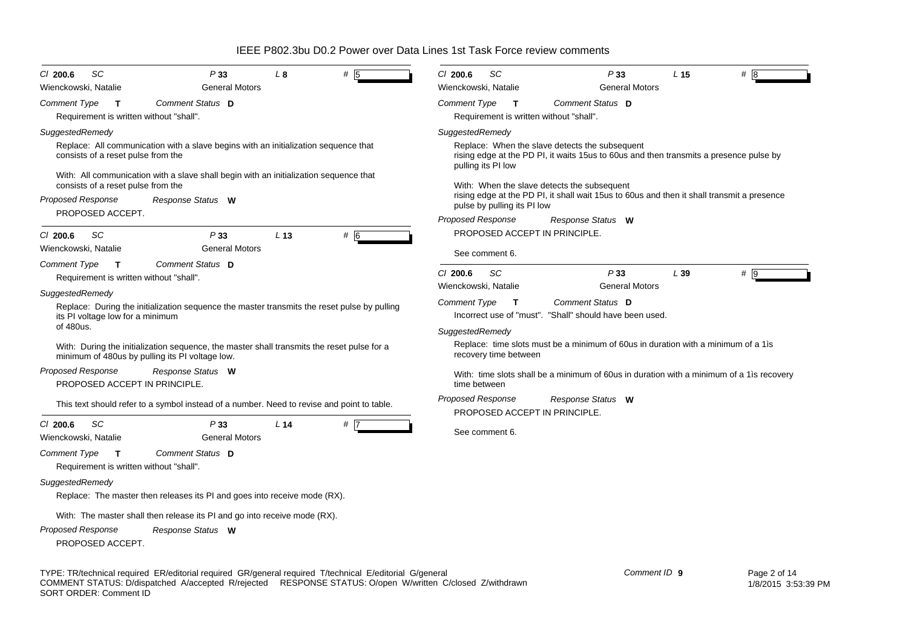| SС<br>P33<br>$CI$ 200.6<br>L 8<br>#<br><b>General Motors</b>                                                                                                                                                                                                                | $Cl$ 200.6<br>SC<br>P33<br>L <sub>15</sub><br># 18<br><b>General Motors</b>                                                                                                                                                                                                                                                                                                                                 |  |  |  |  |  |  |
|-----------------------------------------------------------------------------------------------------------------------------------------------------------------------------------------------------------------------------------------------------------------------------|-------------------------------------------------------------------------------------------------------------------------------------------------------------------------------------------------------------------------------------------------------------------------------------------------------------------------------------------------------------------------------------------------------------|--|--|--|--|--|--|
| Wienckowski, Natalie<br>Comment Status D<br>Comment Type<br>$\mathbf{T}$<br>Requirement is written without "shall".                                                                                                                                                         | Wienckowski, Natalie<br><b>Comment Type</b><br>Comment Status D<br>$\mathbf{T}$<br>Requirement is written without "shall".                                                                                                                                                                                                                                                                                  |  |  |  |  |  |  |
| SuggestedRemedy<br>Replace: All communication with a slave begins with an initialization sequence that<br>consists of a reset pulse from the<br>With: All communication with a slave shall begin with an initialization sequence that<br>consists of a reset pulse from the | SuggestedRemedy<br>Replace: When the slave detects the subsequent<br>rising edge at the PD PI, it waits 15 us to 60 us and then transmits a presence pulse by<br>pulling its PI low<br>With: When the slave detects the subsequent<br>rising edge at the PD PI, it shall wait 15 us to 60 us and then it shall transmit a presence<br>pulse by pulling its PI low<br>Proposed Response<br>Response Status W |  |  |  |  |  |  |
| <b>Proposed Response</b><br>Response Status W<br>PROPOSED ACCEPT.                                                                                                                                                                                                           |                                                                                                                                                                                                                                                                                                                                                                                                             |  |  |  |  |  |  |
| SC<br>P33<br>L <sub>13</sub><br>$#$ 6<br>$Cl$ 200.6<br>Wienckowski, Natalie<br><b>General Motors</b>                                                                                                                                                                        | PROPOSED ACCEPT IN PRINCIPLE.<br>See comment 6.                                                                                                                                                                                                                                                                                                                                                             |  |  |  |  |  |  |
| Comment Status D<br><b>Comment Type</b><br>$\mathbf{T}$<br>Requirement is written without "shall".                                                                                                                                                                          | $Cl$ 200.6<br>SC<br>P33<br>L39<br>#9<br><b>General Motors</b><br>Wienckowski, Natalie                                                                                                                                                                                                                                                                                                                       |  |  |  |  |  |  |
| SuggestedRemedy<br>Replace: During the initialization sequence the master transmits the reset pulse by pulling<br>its PI voltage low for a minimum<br>of 480us.                                                                                                             | Comment Type<br>Comment Status D<br>$\mathbf{T}$<br>Incorrect use of "must". "Shall" should have been used.                                                                                                                                                                                                                                                                                                 |  |  |  |  |  |  |
| With: During the initialization sequence, the master shall transmits the reset pulse for a<br>minimum of 480us by pulling its PI voltage low.                                                                                                                               | SuggestedRemedy<br>Replace: time slots must be a minimum of 60us in duration with a minimum of a 1 is<br>recovery time between                                                                                                                                                                                                                                                                              |  |  |  |  |  |  |
| <b>Proposed Response</b><br>Response Status W<br>PROPOSED ACCEPT IN PRINCIPLE.                                                                                                                                                                                              | With: time slots shall be a minimum of 60us in duration with a minimum of a 1 is recovery<br>time between                                                                                                                                                                                                                                                                                                   |  |  |  |  |  |  |
| This text should refer to a symbol instead of a number. Need to revise and point to table.                                                                                                                                                                                  | <b>Proposed Response</b><br>Response Status W<br>PROPOSED ACCEPT IN PRINCIPLE.                                                                                                                                                                                                                                                                                                                              |  |  |  |  |  |  |
| $Cl$ 200.6<br>SC<br>P33<br>L <sub>14</sub><br>$#$ 7<br><b>General Motors</b><br>Wienckowski, Natalie                                                                                                                                                                        | See comment 6.                                                                                                                                                                                                                                                                                                                                                                                              |  |  |  |  |  |  |
| Comment Status D<br><b>Comment Type</b><br>$\mathsf{T}$<br>Requirement is written without "shall".                                                                                                                                                                          |                                                                                                                                                                                                                                                                                                                                                                                                             |  |  |  |  |  |  |
| SuggestedRemedy<br>Replace: The master then releases its PI and goes into receive mode (RX).                                                                                                                                                                                |                                                                                                                                                                                                                                                                                                                                                                                                             |  |  |  |  |  |  |
| With: The master shall then release its PI and go into receive mode (RX).<br>Proposed Response<br>Response Status W<br>PROPOSED ACCEPT.                                                                                                                                     |                                                                                                                                                                                                                                                                                                                                                                                                             |  |  |  |  |  |  |

TYPE: TR/technical required ER/editorial required GR/general required T/technical E/editorial G/general COMMENT STATUS: D/dispatched A/accepted R/rejected RESPONSE STATUS: O/open W/written C/closed Z/withdrawn SORT ORDER: Comment ID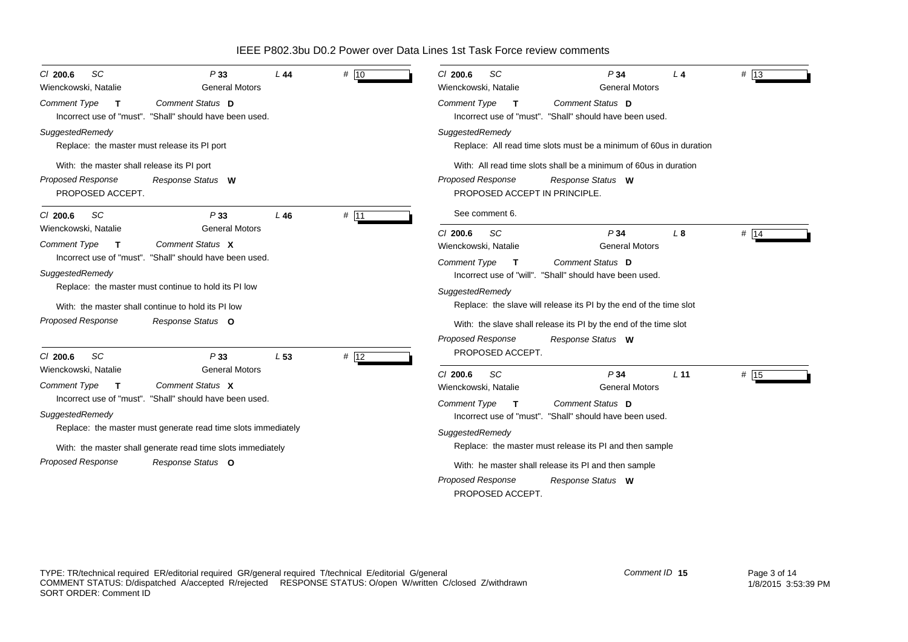| SC<br>$Cl$ 200.6<br>Wienckowski, Natalie                                                              | P33<br><b>General Motors</b>                                                                         | L 44            | # 10 | $CI$ 200.6<br><b>SC</b><br>Wienckowski, Natalie                                                             | P34<br><b>General Motors</b>                                                           | L4              | # $ 13$ |  |  |
|-------------------------------------------------------------------------------------------------------|------------------------------------------------------------------------------------------------------|-----------------|------|-------------------------------------------------------------------------------------------------------------|----------------------------------------------------------------------------------------|-----------------|---------|--|--|
| Comment Type<br>$\mathbf{T}$                                                                          | Comment Status D<br>Incorrect use of "must". "Shall" should have been used.                          |                 |      | <b>Comment Type</b><br>$\mathbf{T}$                                                                         | Comment Status D<br>Incorrect use of "must". "Shall" should have been used.            |                 |         |  |  |
| SuggestedRemedy                                                                                       | Replace: the master must release its PI port                                                         |                 |      | SuggestedRemedy                                                                                             | Replace: All read time slots must be a minimum of 60 us in duration                    |                 |         |  |  |
| With: the master shall release its PI port<br>Proposed Response<br>PROPOSED ACCEPT.                   | Response Status W                                                                                    |                 |      | Proposed Response<br>PROPOSED ACCEPT IN PRINCIPLE.                                                          | With: All read time slots shall be a minimum of 60 us in duration<br>Response Status W |                 |         |  |  |
| <b>SC</b><br>$Cl$ 200.6                                                                               | P33                                                                                                  | L46             | # 11 | See comment 6.                                                                                              |                                                                                        |                 |         |  |  |
| Wienckowski, Natalie<br><b>Comment Type</b><br>$\mathbf{T}$                                           | <b>General Motors</b><br>Comment Status X<br>Incorrect use of "must". "Shall" should have been used. |                 |      | SC<br>$CI$ 200.6<br>Wienckowski, Natalie<br><b>Comment Type</b><br>$\mathbf{T}$                             | P34<br><b>General Motors</b><br>Comment Status D                                       | $L_{\rm 8}$     | # 14    |  |  |
| SuggestedRemedy                                                                                       | Replace: the master must continue to hold its PI low                                                 |                 |      | Incorrect use of "will". "Shall" should have been used.<br>SuggestedRemedy                                  |                                                                                        |                 |         |  |  |
|                                                                                                       | With: the master shall continue to hold its PI low                                                   |                 |      |                                                                                                             | Replace: the slave will release its PI by the end of the time slot                     |                 |         |  |  |
| Proposed Response                                                                                     | Response Status O                                                                                    |                 |      | <b>Proposed Response</b>                                                                                    | With: the slave shall release its PI by the end of the time slot<br>Response Status W  |                 |         |  |  |
| SC<br>$Cl$ 200.6                                                                                      | P33                                                                                                  | L <sub>53</sub> | # 12 | PROPOSED ACCEPT.                                                                                            |                                                                                        |                 |         |  |  |
| Wienckowski, Natalie<br><b>Comment Type</b>                                                           | <b>General Motors</b><br>Comment Status X                                                            |                 |      | C/200.6<br>SC<br>Wienckowski, Natalie                                                                       | P34<br><b>General Motors</b>                                                           | L <sub>11</sub> | # 15    |  |  |
| SuggestedRemedy                                                                                       | Incorrect use of "must". "Shall" should have been used.                                              |                 |      | Comment Type<br>Comment Status D<br>$\mathbf{T}$<br>Incorrect use of "must". "Shall" should have been used. |                                                                                        |                 |         |  |  |
|                                                                                                       | Replace: the master must generate read time slots immediately                                        |                 |      | SuggestedRemedy<br>Replace: the master must release its PI and then sample                                  |                                                                                        |                 |         |  |  |
| With: the master shall generate read time slots immediately<br>Proposed Response<br>Response Status O |                                                                                                      |                 |      | With: he master shall release its PI and then sample                                                        |                                                                                        |                 |         |  |  |
|                                                                                                       |                                                                                                      |                 |      | <b>Proposed Response</b><br>PROPOSED ACCEPT.                                                                | Response Status W                                                                      |                 |         |  |  |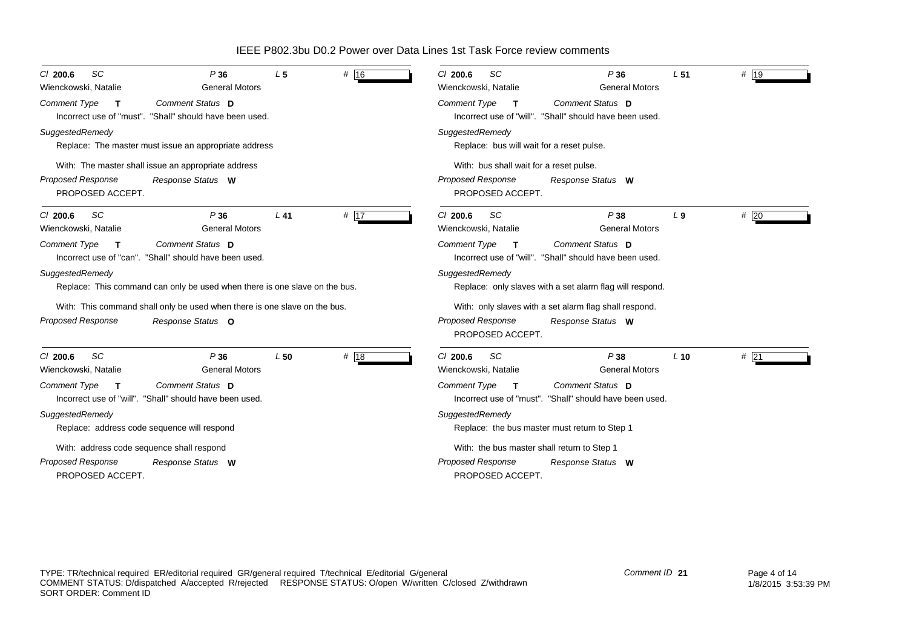| SC<br>$CI$ 200.6<br>Wienckowski, Natalie                       | P36<br><b>General Motors</b>                                                       | L <sub>5</sub> | # 16              | <b>SC</b><br>C/200.6<br>Wienckowski, Natalie    | P36<br><b>General Motors</b>                                                       | L <sub>51</sub> | # $ 19$ |
|----------------------------------------------------------------|------------------------------------------------------------------------------------|----------------|-------------------|-------------------------------------------------|------------------------------------------------------------------------------------|-----------------|---------|
| <b>Comment Type</b><br>$\mathsf{T}$                            | <b>Comment Status D</b><br>Incorrect use of "must". "Shall" should have been used. |                |                   | <b>Comment Type</b><br>$\mathbf{T}$             | Comment Status D<br>Incorrect use of "will". "Shall" should have been used.        |                 |         |
| SuggestedRemedy                                                | Replace: The master must issue an appropriate address                              |                |                   | SuggestedRemedy                                 | Replace: bus will wait for a reset pulse.                                          |                 |         |
| Proposed Response<br>PROPOSED ACCEPT.                          | With: The master shall issue an appropriate address<br>Response Status W           |                |                   | <b>Proposed Response</b><br>PROPOSED ACCEPT.    | With: bus shall wait for a reset pulse.<br>Response Status W                       |                 |         |
| <b>SC</b><br>$CI$ 200.6<br>Wienckowski, Natalie                | P36<br><b>General Motors</b>                                                       | $L$ 41         | # $\overline{17}$ | <b>SC</b><br>$Cl$ 200.6<br>Wienckowski, Natalie | P38<br><b>General Motors</b>                                                       | L <sub>9</sub>  | #20     |
| <b>Comment Type</b><br>$\mathbf{T}$                            | Comment Status D<br>Incorrect use of "can". "Shall" should have been used.         |                |                   | Comment Type<br>$\mathbf{T}$                    | Comment Status D<br>Incorrect use of "will". "Shall" should have been used.        |                 |         |
| SuggestedRemedy                                                | Replace: This command can only be used when there is one slave on the bus.         |                |                   | SuggestedRemedy                                 | Replace: only slaves with a set alarm flag will respond.                           |                 |         |
|                                                                | With: This command shall only be used when there is one slave on the bus.          |                |                   |                                                 | With: only slaves with a set alarm flag shall respond.                             |                 |         |
| Proposed Response                                              | Response Status O                                                                  |                |                   | <b>Proposed Response</b><br>PROPOSED ACCEPT.    | Response Status W                                                                  |                 |         |
| SC<br>$CI$ 200.6<br>Wienckowski, Natalie                       | P36<br><b>General Motors</b>                                                       | L50            | # 18              | $Cl$ 200.6<br><b>SC</b><br>Wienckowski, Natalie | P38<br><b>General Motors</b>                                                       | $L$ 10          | $#$ 21  |
| <b>Comment Type</b><br>$\mathbf{T}$                            | Comment Status D<br>Incorrect use of "will". "Shall" should have been used.        |                |                   | <b>Comment Type</b><br>$\mathbf{T}$             | <b>Comment Status</b> D<br>Incorrect use of "must". "Shall" should have been used. |                 |         |
| SuggestedRemedy<br>Replace: address code sequence will respond |                                                                                    |                |                   | SuggestedRemedy                                 | Replace: the bus master must return to Step 1                                      |                 |         |
| With: address code sequence shall respond                      |                                                                                    |                |                   |                                                 | With: the bus master shall return to Step 1                                        |                 |         |
| <b>Proposed Response</b><br>PROPOSED ACCEPT.                   | Response Status W                                                                  |                |                   | Proposed Response<br>PROPOSED ACCEPT.           | Response Status W                                                                  |                 |         |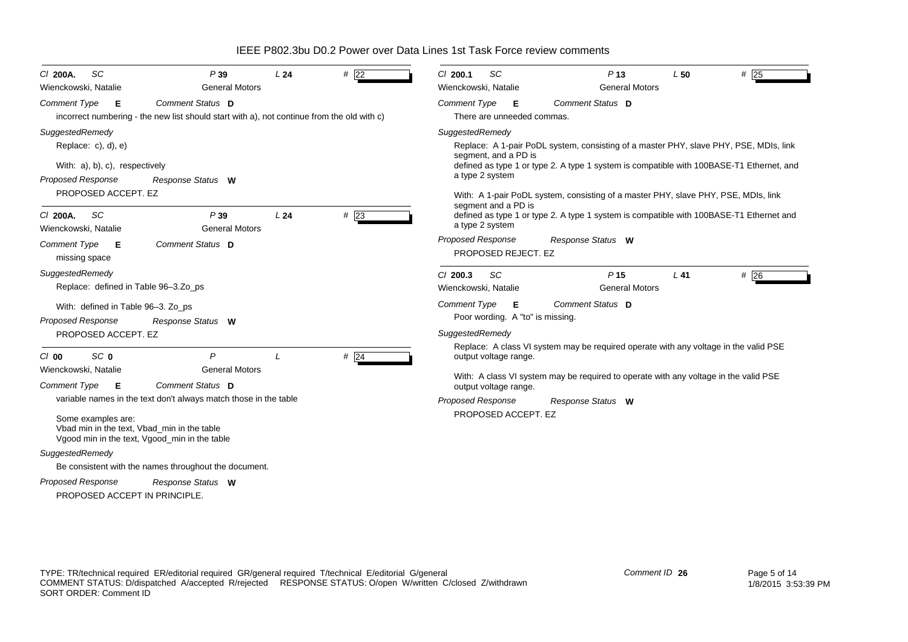*Proposed Response Cl* **200A.** *SC P* **39** *L* **24** *#* 22*Comment Type* **E** incorrect numbering - the new list should start with a), not continue from the old with c) *SuggestedRemedy* Replace: c), d), e) With: a), b), c), respectively PROPOSED ACCEPT. EZ *Comment Status***D***Response Status* **W**Wienckowski, Natalie General Motors *Proposed Response Cl* **200A.** *SC P* **39** *L* **24** *#* 23*Comment Type* **E** missing space *SuggestedRemedy* Replace: defined in Table 96–3.Zo\_ps With: defined in Table 96-3. Zo ps PROPOSED ACCEPT. EZ**Comment Status D** *Response Status* **W**Wienckowski, Natalie General Motors *Proposed Response Cl* **00** *SC* **0** *P L #* 24*Comment Type* **E** variable names in the text don't always match those in the table Some examples are: Vbad min in the text, Vbad\_min in the table Vgood min in the text, Vgood\_min in the table *SuggestedRemedy* Be consistent with the names throughout the document. PROPOSED ACCEPT IN PRINCIPLE. *Comment Status* **D** *Response Status* **W**Wienckowski, Natalie General Motors *Proposed Response Cl* **200.1** *SC P* **13** *L* **50** *#* 25*Comment Type* **E** There are unneeded commas.*SuggestedRemedy* Replace: A 1-pair PoDL system, consisting of a master PHY, slave PHY, PSE, MDIs, link segment, and a PD is defined as type 1 or type 2. A type 1 system is compatible with 100BASE-T1 Ethernet, and a type 2 system With: A 1-pair PoDL system, consisting of a master PHY, slave PHY, PSE, MDIs, link segment and a PD is defined as type 1 or type 2. A type 1 system is compatible with 100BASE-T1 Ethernet and a type 2 system PROPOSED REJECT. EZ*Comment Status***D***Response Status* **W**Wienckowski, Natalie General Motors *Proposed Response Cl* **200.3** *SC P* **15** *L* **41** *#* 26*Comment Type* **E** Poor wording. A "to" is missing. *SuggestedRemedy* Replace: A class VI system may be required operate with any voltage in the valid PSE output voltage range. With: A class VI system may be required to operate with any voltage in the valid PSE output voltage range. PROPOSED ACCEPT. EZ *Comment Status***D***Response Status* **W**Wienckowski, Natalie General Motors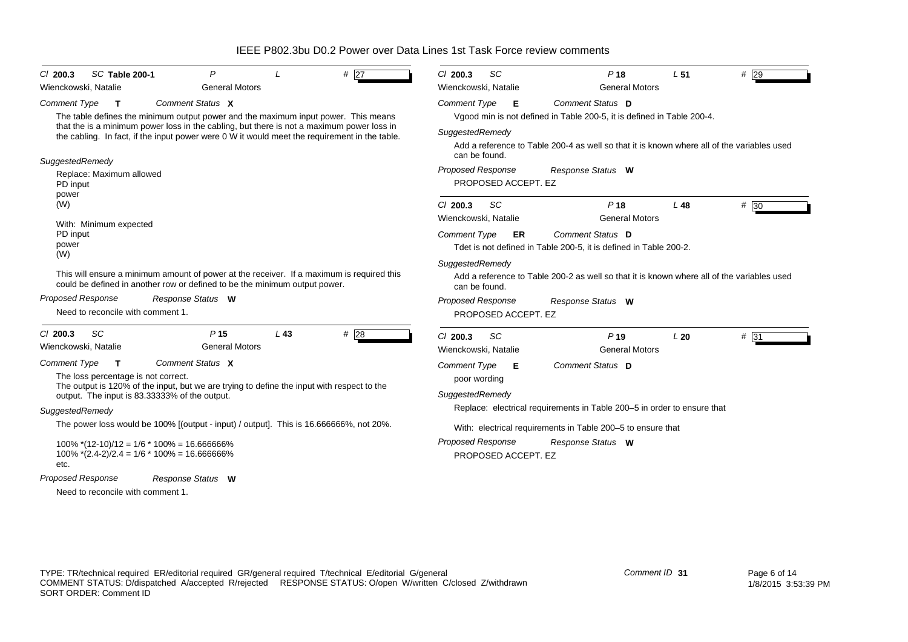| SC Table 200-1<br>$CI$ 200.3                                     | P                                                                                                                                                                                                                                                                                |                 | # 27              | SC<br>$Cl$ 200.3                                                                                                               | P <sub>18</sub>                                                                            | L <sub>51</sub> | $#$ 29 |  |  |  |  |
|------------------------------------------------------------------|----------------------------------------------------------------------------------------------------------------------------------------------------------------------------------------------------------------------------------------------------------------------------------|-----------------|-------------------|--------------------------------------------------------------------------------------------------------------------------------|--------------------------------------------------------------------------------------------|-----------------|--------|--|--|--|--|
| Wienckowski, Natalie                                             | <b>General Motors</b>                                                                                                                                                                                                                                                            |                 |                   | Wienckowski, Natalie                                                                                                           | <b>General Motors</b>                                                                      |                 |        |  |  |  |  |
| <b>Comment Type</b><br>$\mathbf{T}$                              | Comment Status X                                                                                                                                                                                                                                                                 |                 |                   | Comment Type<br>- E                                                                                                            | Comment Status D<br>Vgood min is not defined in Table 200-5, it is defined in Table 200-4. |                 |        |  |  |  |  |
|                                                                  | The table defines the minimum output power and the maximum input power. This means<br>that the is a minimum power loss in the cabling, but there is not a maximum power loss in<br>the cabling. In fact, if the input power were 0 W it would meet the requirement in the table. |                 |                   | SuggestedRemedy<br>Add a reference to Table 200-4 as well so that it is known where all of the variables used<br>can be found. |                                                                                            |                 |        |  |  |  |  |
| SuggestedRemedy<br>Replace: Maximum allowed<br>PD input<br>power |                                                                                                                                                                                                                                                                                  |                 |                   | <b>Proposed Response</b><br>PROPOSED ACCEPT. EZ                                                                                | Response Status W                                                                          |                 |        |  |  |  |  |
| (W)                                                              |                                                                                                                                                                                                                                                                                  |                 |                   | SC<br>$Cl$ 200.3<br>Wienckowski, Natalie                                                                                       | P <sub>18</sub><br><b>General Motors</b>                                                   | L <sub>48</sub> | # 30   |  |  |  |  |
| With: Minimum expected<br>PD input<br>power<br>(W)               |                                                                                                                                                                                                                                                                                  |                 |                   | Comment Type<br>ER                                                                                                             | Comment Status D<br>Tdet is not defined in Table 200-5, it is defined in Table 200-2.      |                 |        |  |  |  |  |
|                                                                  | This will ensure a minimum amount of power at the receiver. If a maximum is required this<br>could be defined in another row or defined to be the minimum output power.                                                                                                          |                 |                   | SuggestedRemedy<br>Add a reference to Table 200-2 as well so that it is known where all of the variables used<br>can be found. |                                                                                            |                 |        |  |  |  |  |
| <b>Proposed Response</b><br>Need to reconcile with comment 1.    | Response Status W                                                                                                                                                                                                                                                                |                 |                   | <b>Proposed Response</b><br>PROPOSED ACCEPT. EZ                                                                                | Response Status W                                                                          |                 |        |  |  |  |  |
| SC<br>$Cl$ 200.3<br>Wienckowski, Natalie                         | P <sub>15</sub><br><b>General Motors</b>                                                                                                                                                                                                                                         | L <sub>43</sub> | # $\overline{28}$ | SC<br>$Cl$ 200.3<br>Wienckowski, Natalie                                                                                       | P <sub>19</sub><br><b>General Motors</b>                                                   | L20             | $#$ 31 |  |  |  |  |
| <b>Comment Type</b><br>т<br>The loss percentage is not correct.  | Comment Status X<br>The output is 120% of the input, but we are trying to define the input with respect to the<br>output. The input is 83.33333% of the output.                                                                                                                  |                 |                   | <b>Comment Type</b><br>E<br>poor wording<br>SuggestedRemedy                                                                    | Comment Status D                                                                           |                 |        |  |  |  |  |
| SuggestedRemedy                                                  |                                                                                                                                                                                                                                                                                  |                 |                   |                                                                                                                                | Replace: electrical requirements in Table 200-5 in order to ensure that                    |                 |        |  |  |  |  |
|                                                                  | The power loss would be 100% [(output - input) / output]. This is 16.666666%, not 20%.                                                                                                                                                                                           |                 |                   |                                                                                                                                | With: electrical requirements in Table 200-5 to ensure that                                |                 |        |  |  |  |  |
| etc.                                                             | $100\%$ *(12-10)/12 = 1/6 * 100% = 16.666666%<br>$100\%$ *(2.4-2)/2.4 = 1/6 * 100% = 16.666666%                                                                                                                                                                                  |                 |                   | Proposed Response<br>PROPOSED ACCEPT. EZ                                                                                       | Response Status W                                                                          |                 |        |  |  |  |  |
| <b>Proposed Response</b>                                         | Response Status W                                                                                                                                                                                                                                                                |                 |                   |                                                                                                                                |                                                                                            |                 |        |  |  |  |  |
| Need to reconcile with comment 1.                                |                                                                                                                                                                                                                                                                                  |                 |                   |                                                                                                                                |                                                                                            |                 |        |  |  |  |  |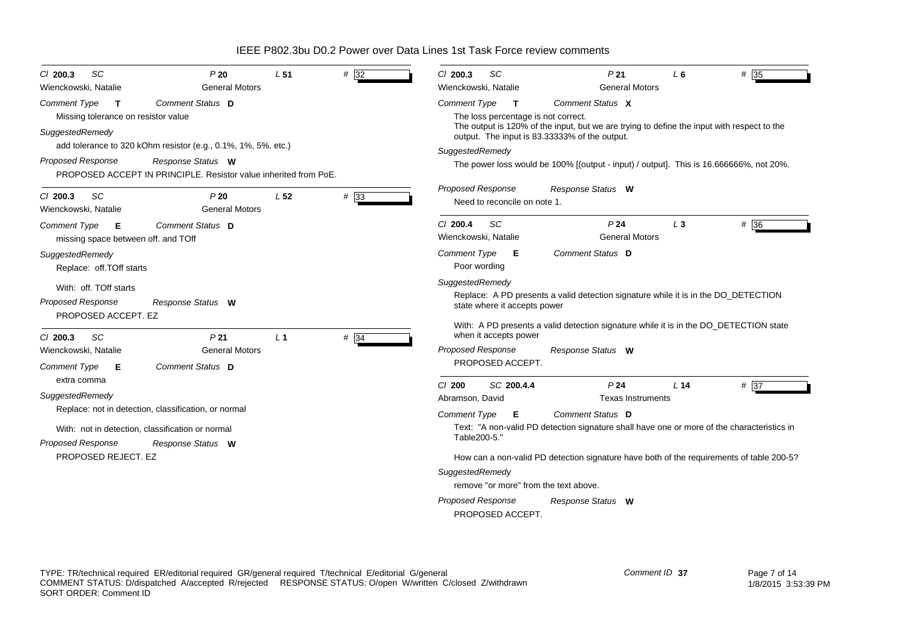| SC<br>$Cl$ 200.3<br>Wienckowski, Natalie                                                      | P20<br><b>General Motors</b>                                                                                                                           | L <sub>51</sub> | #32    | <b>SC</b><br>C/200.3<br>Wienckowski, Natalie                                                                                                                                                                                                                               | P <sub>21</sub><br><b>General Motors</b>                                                                       | L6    | $# \overline{35}$ |  |  |  |
|-----------------------------------------------------------------------------------------------|--------------------------------------------------------------------------------------------------------------------------------------------------------|-----------------|--------|----------------------------------------------------------------------------------------------------------------------------------------------------------------------------------------------------------------------------------------------------------------------------|----------------------------------------------------------------------------------------------------------------|-------|-------------------|--|--|--|
| <b>Comment Type</b><br>$\mathsf{T}$<br>Missing tolerance on resistor value<br>SuggestedRemedy | Comment Status D                                                                                                                                       |                 |        | Comment Type<br>$\mathsf{T}$<br>The loss percentage is not correct.<br>output. The input is 83.33333% of the output.                                                                                                                                                       | Comment Status X<br>The output is 120% of the input, but we are trying to define the input with respect to the |       |                   |  |  |  |
| <b>Proposed Response</b>                                                                      | add tolerance to 320 kOhm resistor (e.g., 0.1%, 1%, 5%, etc.)<br>Response Status W<br>PROPOSED ACCEPT IN PRINCIPLE. Resistor value inherited from PoE. |                 |        | SuggestedRemedy                                                                                                                                                                                                                                                            | The power loss would be 100% [(output - input) / output]. This is 16.666666%, not 20%.                         |       |                   |  |  |  |
| <b>SC</b><br>$Cl$ 200.3<br>Wienckowski, Natalie                                               | P20<br><b>General Motors</b>                                                                                                                           | L <sub>52</sub> | $#$ 33 | <b>Proposed Response</b><br>Need to reconcile on note 1.                                                                                                                                                                                                                   | Response Status W                                                                                              |       |                   |  |  |  |
| <b>Comment Type</b><br>Е<br>missing space between off. and TOff                               | Comment Status D                                                                                                                                       |                 |        | SC<br>$Cl$ 200.4<br>Wienckowski, Natalie                                                                                                                                                                                                                                   | P <sub>24</sub><br><b>General Motors</b>                                                                       | $L_3$ | # 36              |  |  |  |
| SuggestedRemedy<br>Replace: off.TOff starts                                                   |                                                                                                                                                        |                 |        | Comment Type<br>Е<br>Poor wording                                                                                                                                                                                                                                          | Comment Status D                                                                                               |       |                   |  |  |  |
| With: off. TOff starts<br>Proposed Response<br>PROPOSED ACCEPT. EZ                            | Response Status W                                                                                                                                      |                 |        | SuggestedRemedy<br>state where it accepts power                                                                                                                                                                                                                            | Replace: A PD presents a valid detection signature while it is in the DO_DETECTION                             |       |                   |  |  |  |
| SC<br>$Cl$ 200.3<br>Wienckowski, Natalie<br><b>Comment Type</b><br>E                          | P <sub>21</sub><br><b>General Motors</b><br>Comment Status D                                                                                           | L <sub>1</sub>  | # $34$ | when it accepts power<br><b>Proposed Response</b><br>PROPOSED ACCEPT.                                                                                                                                                                                                      | With: A PD presents a valid detection signature while it is in the DO_DETECTION state<br>Response Status W     |       |                   |  |  |  |
| extra comma<br>SuggestedRemedy                                                                | Replace: not in detection, classification, or normal<br>With: not in detection, classification or normal                                               |                 |        | C/ 200<br>P <sub>24</sub><br>$# \overline{37}$<br>SC 200.4.4<br>L 14<br><b>Texas Instruments</b><br>Abramson, David<br>Comment Status D<br>Comment Type<br>Е<br>Text: "A non-valid PD detection signature shall have one or more of the characteristics in<br>Table200-5." |                                                                                                                |       |                   |  |  |  |
| <b>Proposed Response</b><br>PROPOSED REJECT. EZ                                               | Response Status W                                                                                                                                      |                 |        | SuggestedRemedy<br>remove "or more" from the text above.<br><b>Proposed Response</b><br>PROPOSED ACCEPT.                                                                                                                                                                   | How can a non-valid PD detection signature have both of the requirements of table 200-5?<br>Response Status W  |       |                   |  |  |  |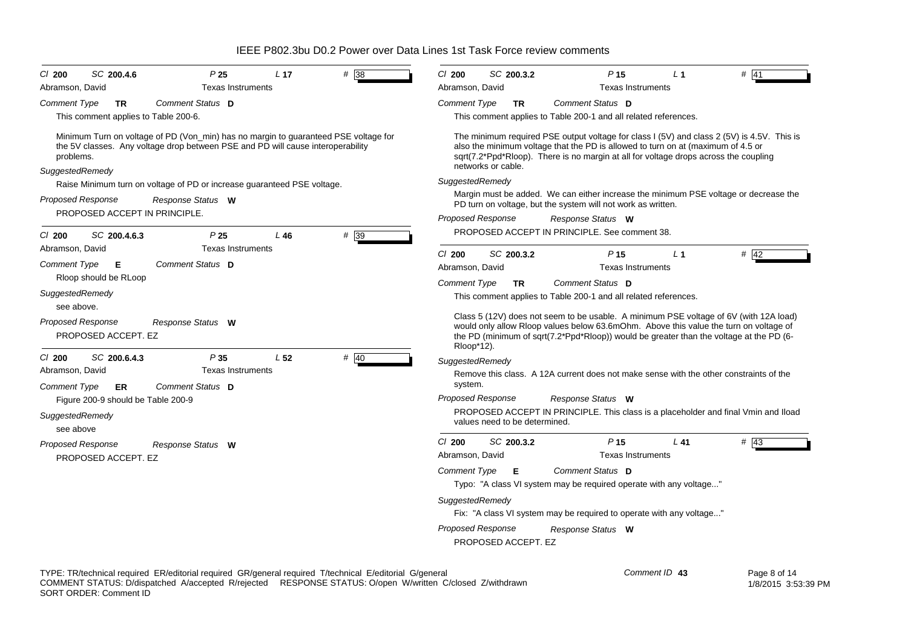*Proposed Response Cl* **200** *SC* **200.4.6** *P* **25** *L* **17** *#* 38*Comment Type* **TR** This comment applies to Table 200-6. Minimum Turn on voltage of PD (Von\_min) has no margin to guaranteed PSE voltage for the 5V classes. Any voltage drop between PSE and PD will cause interoperability problems. *SuggestedRemedy* Raise Minimum turn on voltage of PD or increase guaranteed PSE voltage. PROPOSED ACCEPT IN PRINCIPLE. *Comment Status***D***Response Status* **W**Abramson, David **Texas Instruments** *Proposed Response Cl* **200** *SC* **200.4.6.3** *P* **25** *L* **46** *#* 39 *Comment Type* **E** Rloop should be RLoop *SuggestedRemedy* see above.PROPOSED ACCEPT. EZ*Comment Status***D***Response Status* **W**Abramson, David **Texas Instruments** *Proposed Response Cl* **200** *SC* **200.6.4.3** *P* **35** *L* **52** *#* 40*Comment Type* **ER** Figure 200-9 should be Table 200-9 *SuggestedRemedy* see abovePROPOSED ACCEPT. EZ *Comment Status***D***Response Status* **W**Abramson, David **Texas Instruments** *Proposed Response Cl* **200** *SC* **200.3.2** *P* **15** *L* **1** *#* 41*Comment Type* **TR** This comment applies to Table 200-1 and all related references. The minimum required PSE output voltage for class I (5V) and class 2 (5V) is 4.5V. This is also the minimum voltage that the PD is allowed to turn on at (maximum of 4.5 or sqrt(7.2\*Ppd\*Rloop). There is no margin at all for voltage drops across the coupling networks or cable.*SuggestedRemedy* Margin must be added. We can either increase the minimum PSE voltage or decrease the PD turn on voltage, but the system will not work as written. PROPOSED ACCEPT IN PRINCIPLE. See comment 38.*Comment Status***D***Response Status* **W**Abramson, David Texas Instruments *Proposed Response Cl* **200** *SC* **200.3.2** *P* **15** *L* **1** *#* 42*Comment Type* **TR** This comment applies to Table 200-1 and all related references. Class 5 (12V) does not seem to be usable. A minimum PSE voltage of 6V (with 12A load) would only allow Rloop values below 63.6mOhm. Above this value the turn on voltage of the PD (minimum of sqrt(7.2\*Ppd\*Rloop)) would be greater than the voltage at the PD (6- Rloop\*12). *SuggestedRemedy* Remove this class. A 12A current does not make sense with the other constraints of the system. PROPOSED ACCEPT IN PRINCIPLE. This class is a placeholder and final Vmin and Iload values need to be determined.*Comment Status***D***Response Status* **W**Abramson, David **Texas Instruments** *Proposed Response Cl* **200** *SC* **200.3.2** *P* $141 + 43$ *Comment Type* **E** Typo: "A class VI system may be required operate with any voltage..." *SuggestedRemedy* Fix: "A class VI system may be required to operate with any voltage..." PROPOSED ACCEPT. EZ*Comment Status***D***Response Status* **W**Abramson, David Texas Instruments

# IEEE P802.3bu D0.2 Power over Data Lines 1st Task Force review comments

TYPE: TR/technical required ER/editorial required GR/general required T/technical E/editorial G/general COMMENT STATUS: D/dispatched A/accepted R/rejected RESPONSE STATUS: O/open W/written C/closed Z/withdrawn SORT ORDER: Comment ID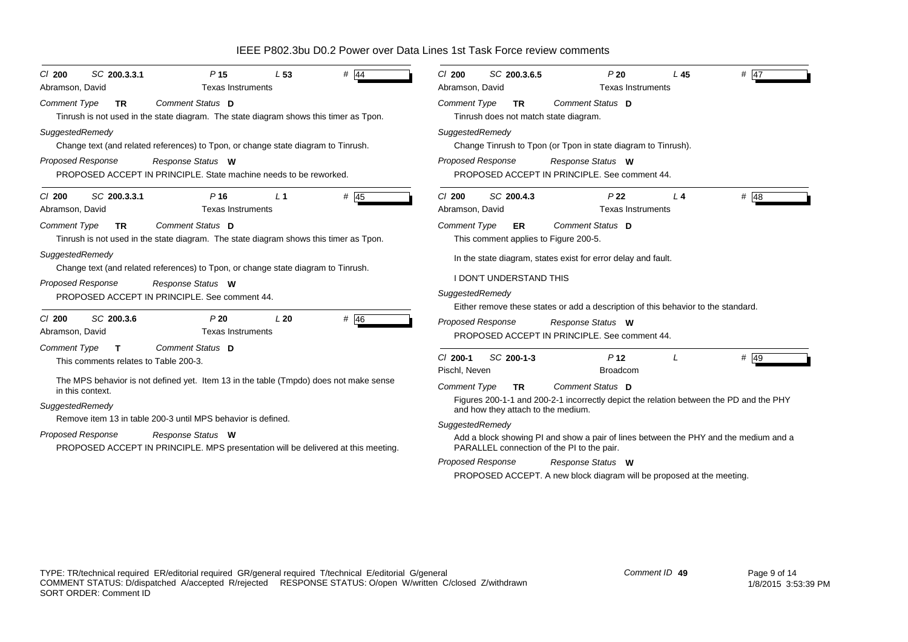| SC 200.3.3.1                                                                                                                                                                                           | SC 200.3.6.5                                                                                                                                                         |  |  |  |  |  |
|--------------------------------------------------------------------------------------------------------------------------------------------------------------------------------------------------------|----------------------------------------------------------------------------------------------------------------------------------------------------------------------|--|--|--|--|--|
| $#$ 44                                                                                                                                                                                                 | $Cl$ 200                                                                                                                                                             |  |  |  |  |  |
| P <sub>15</sub>                                                                                                                                                                                        | P20                                                                                                                                                                  |  |  |  |  |  |
| L <sub>53</sub>                                                                                                                                                                                        | L45                                                                                                                                                                  |  |  |  |  |  |
| $CI$ 200                                                                                                                                                                                               | $#$ 47                                                                                                                                                               |  |  |  |  |  |
| <b>Texas Instruments</b>                                                                                                                                                                               | <b>Texas Instruments</b>                                                                                                                                             |  |  |  |  |  |
| Abramson, David                                                                                                                                                                                        | Abramson, David                                                                                                                                                      |  |  |  |  |  |
| Comment Status D                                                                                                                                                                                       | <b>Comment Type</b>                                                                                                                                                  |  |  |  |  |  |
| <b>Comment Type</b>                                                                                                                                                                                    | Comment Status D                                                                                                                                                     |  |  |  |  |  |
| <b>TR</b>                                                                                                                                                                                              | <b>TR</b>                                                                                                                                                            |  |  |  |  |  |
| Tinrush is not used in the state diagram. The state diagram shows this timer as Tpon.                                                                                                                  | Tinrush does not match state diagram.                                                                                                                                |  |  |  |  |  |
| SuggestedRemedy                                                                                                                                                                                        | SuggestedRemedy                                                                                                                                                      |  |  |  |  |  |
| Change text (and related references) to Tpon, or change state diagram to Tinrush.                                                                                                                      | Change Tinrush to Tpon (or Tpon in state diagram to Tinrush).                                                                                                        |  |  |  |  |  |
| <b>Proposed Response</b>                                                                                                                                                                               | <b>Proposed Response</b>                                                                                                                                             |  |  |  |  |  |
| Response Status W                                                                                                                                                                                      | Response Status W                                                                                                                                                    |  |  |  |  |  |
| PROPOSED ACCEPT IN PRINCIPLE. State machine needs to be reworked.                                                                                                                                      | PROPOSED ACCEPT IN PRINCIPLE. See comment 44.                                                                                                                        |  |  |  |  |  |
| SC 200.3.3.1                                                                                                                                                                                           | SC 200.4.3                                                                                                                                                           |  |  |  |  |  |
| $P$ 16                                                                                                                                                                                                 | P <sub>22</sub>                                                                                                                                                      |  |  |  |  |  |
| # $\overline{45}$                                                                                                                                                                                      | $Cl$ 200                                                                                                                                                             |  |  |  |  |  |
| L <sub>1</sub>                                                                                                                                                                                         | $#$ 48                                                                                                                                                               |  |  |  |  |  |
| $Cl$ 200                                                                                                                                                                                               | $L_4$                                                                                                                                                                |  |  |  |  |  |
| <b>Texas Instruments</b>                                                                                                                                                                               | Abramson, David                                                                                                                                                      |  |  |  |  |  |
| Abramson, David                                                                                                                                                                                        | <b>Texas Instruments</b>                                                                                                                                             |  |  |  |  |  |
| Comment Status D                                                                                                                                                                                       | <b>Comment Type</b>                                                                                                                                                  |  |  |  |  |  |
| <b>Comment Type</b>                                                                                                                                                                                    | Comment Status D                                                                                                                                                     |  |  |  |  |  |
| TR.                                                                                                                                                                                                    | ER                                                                                                                                                                   |  |  |  |  |  |
| Tinrush is not used in the state diagram. The state diagram shows this timer as Tpon.                                                                                                                  | This comment applies to Figure 200-5.                                                                                                                                |  |  |  |  |  |
| SuggestedRemedy<br>Change text (and related references) to Tpon, or change state diagram to Tinrush.                                                                                                   | In the state diagram, states exist for error delay and fault.                                                                                                        |  |  |  |  |  |
| <b>Proposed Response</b>                                                                                                                                                                               | <b>I DON'T UNDERSTAND THIS</b>                                                                                                                                       |  |  |  |  |  |
| Response Status W                                                                                                                                                                                      | SuggestedRemedy                                                                                                                                                      |  |  |  |  |  |
| PROPOSED ACCEPT IN PRINCIPLE. See comment 44.                                                                                                                                                          | Either remove these states or add a description of this behavior to the standard.                                                                                    |  |  |  |  |  |
| P20<br># 46<br>$Cl$ 200<br>SC 200.3.6<br>L20<br>Abramson, David<br><b>Texas Instruments</b>                                                                                                            | Proposed Response<br>Response Status W<br>PROPOSED ACCEPT IN PRINCIPLE. See comment 44.                                                                              |  |  |  |  |  |
| Comment Type<br>Comment Status D<br>$\mathbf{T}$<br>This comments relates to Table 200-3.<br>The MPS behavior is not defined yet. Item 13 in the table (Tmpdo) does not make sense<br>in this context. | # 49<br>SC 200-1-3<br>P <sub>12</sub><br>$Cl$ 200-1<br>Pischl. Neven<br><b>Broadcom</b><br>Comment Status D<br><b>Comment Type</b><br><b>TR</b>                      |  |  |  |  |  |
| SuggestedRemedy                                                                                                                                                                                        | Figures 200-1-1 and 200-2-1 incorrectly depict the relation between the PD and the PHY                                                                               |  |  |  |  |  |
| Remove item 13 in table 200-3 until MPS behavior is defined.                                                                                                                                           | and how they attach to the medium.                                                                                                                                   |  |  |  |  |  |
| <b>Proposed Response</b>                                                                                                                                                                               | SuggestedRemedy                                                                                                                                                      |  |  |  |  |  |
| Response Status W                                                                                                                                                                                      | Add a block showing PI and show a pair of lines between the PHY and the medium and a                                                                                 |  |  |  |  |  |
| PROPOSED ACCEPT IN PRINCIPLE. MPS presentation will be delivered at this meeting.                                                                                                                      | PARALLEL connection of the PI to the pair.<br><b>Proposed Response</b><br>Response Status W<br>PROPOSED ACCEPT. A new block diagram will be proposed at the meeting. |  |  |  |  |  |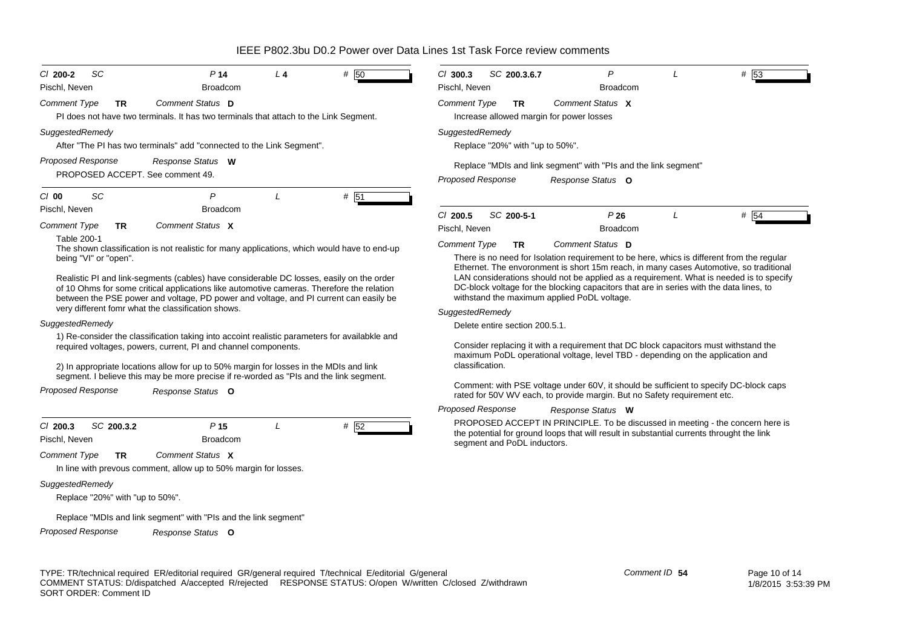| <b>SC</b><br>$C1$ 200-2<br>Pischl, Neven                     | P <sub>14</sub><br><b>Broadcom</b>                                                                                                                                                                                                                                                                                                                                            | L <sub>4</sub> | # 50                                                                                                                                                                                                                                                                                                                                                                                                                                                                              | $Cl$ 300.3<br>SC 200.3.6.7<br>Pischl, Neven                                                                                                                       | $\mathsf{P}$<br><b>Broadcom</b>                                                                                                                                             |  | # 53 |  |  |  |  |
|--------------------------------------------------------------|-------------------------------------------------------------------------------------------------------------------------------------------------------------------------------------------------------------------------------------------------------------------------------------------------------------------------------------------------------------------------------|----------------|-----------------------------------------------------------------------------------------------------------------------------------------------------------------------------------------------------------------------------------------------------------------------------------------------------------------------------------------------------------------------------------------------------------------------------------------------------------------------------------|-------------------------------------------------------------------------------------------------------------------------------------------------------------------|-----------------------------------------------------------------------------------------------------------------------------------------------------------------------------|--|------|--|--|--|--|
| <b>Comment Type</b><br><b>TR</b>                             | Comment Status D<br>PI does not have two terminals. It has two terminals that attach to the Link Segment.                                                                                                                                                                                                                                                                     |                |                                                                                                                                                                                                                                                                                                                                                                                                                                                                                   | <b>Comment Type</b><br><b>TR</b><br>Increase allowed margin for power losses                                                                                      | Comment Status X                                                                                                                                                            |  |      |  |  |  |  |
| SuggestedRemedy                                              | After "The PI has two terminals" add "connected to the Link Segment".                                                                                                                                                                                                                                                                                                         |                |                                                                                                                                                                                                                                                                                                                                                                                                                                                                                   | SuggestedRemedy<br>Replace "20%" with "up to 50%".                                                                                                                |                                                                                                                                                                             |  |      |  |  |  |  |
| <b>Proposed Response</b><br>PROPOSED ACCEPT. See comment 49. | Response Status W                                                                                                                                                                                                                                                                                                                                                             |                |                                                                                                                                                                                                                                                                                                                                                                                                                                                                                   | Replace "MDIs and link segment" with "PIs and the link segment"<br><b>Proposed Response</b><br>Response Status O                                                  |                                                                                                                                                                             |  |      |  |  |  |  |
| <b>SC</b><br>$Cl$ 00                                         | P                                                                                                                                                                                                                                                                                                                                                                             | L              | # 51                                                                                                                                                                                                                                                                                                                                                                                                                                                                              |                                                                                                                                                                   |                                                                                                                                                                             |  |      |  |  |  |  |
| Pischl, Neven<br><b>Comment Type</b><br><b>TR</b>            | <b>Broadcom</b><br>Comment Status X                                                                                                                                                                                                                                                                                                                                           |                |                                                                                                                                                                                                                                                                                                                                                                                                                                                                                   | SC 200-5-1<br>$Cl$ 200.5<br>Pischl, Neven                                                                                                                         | P26<br><b>Broadcom</b>                                                                                                                                                      |  | # 54 |  |  |  |  |
| Table 200-1<br>being "VI" or "open".                         | The shown classification is not realistic for many applications, which would have to end-up<br>Realistic PI and link-segments (cables) have considerable DC losses, easily on the order<br>of 10 Ohms for some critical applications like automotive cameras. Therefore the relation<br>between the PSE power and voltage, PD power and voltage, and PI current can easily be |                | Comment Status D<br><b>Comment Type</b><br><b>TR</b><br>There is no need for Isolation requirement to be here, whics is different from the regular<br>Ethernet. The envoronment is short 15m reach, in many cases Automotive, so traditional<br>LAN considerations should not be applied as a requirement. What is needed is to specify<br>DC-block voltage for the blocking capacitors that are in series with the data lines, to<br>withstand the maximum applied PoDL voltage. |                                                                                                                                                                   |                                                                                                                                                                             |  |      |  |  |  |  |
| SuggestedRemedy                                              | very different fomr what the classification shows.                                                                                                                                                                                                                                                                                                                            |                |                                                                                                                                                                                                                                                                                                                                                                                                                                                                                   | SuggestedRemedy<br>Delete entire section 200.5.1.                                                                                                                 |                                                                                                                                                                             |  |      |  |  |  |  |
|                                                              | 1) Re-consider the classification taking into accoint realistic parameters for availabkle and<br>required voltages, powers, current, PI and channel components.<br>2) In appropriate locations allow for up to 50% margin for losses in the MDIs and link<br>segment. I believe this may be more precise if re-worded as "PIs and the link segment.                           |                |                                                                                                                                                                                                                                                                                                                                                                                                                                                                                   | classification.                                                                                                                                                   | Consider replacing it with a requirement that DC block capacitors must withstand the<br>maximum PoDL operational voltage, level TBD - depending on the application and      |  |      |  |  |  |  |
| <b>Proposed Response</b>                                     | Response Status O                                                                                                                                                                                                                                                                                                                                                             |                |                                                                                                                                                                                                                                                                                                                                                                                                                                                                                   | Comment: with PSE voltage under 60V, it should be sufficient to specify DC-block caps<br>rated for 50V WV each, to provide margin. But no Safety requirement etc. |                                                                                                                                                                             |  |      |  |  |  |  |
|                                                              |                                                                                                                                                                                                                                                                                                                                                                               |                |                                                                                                                                                                                                                                                                                                                                                                                                                                                                                   | <b>Proposed Response</b>                                                                                                                                          | Response Status W                                                                                                                                                           |  |      |  |  |  |  |
| $Cl$ 200.3<br>SC 200.3.2<br>Pischl, Neven                    | P <sub>15</sub><br><b>Broadcom</b><br>Comment Status X                                                                                                                                                                                                                                                                                                                        |                | # 52                                                                                                                                                                                                                                                                                                                                                                                                                                                                              | segment and PoDL inductors.                                                                                                                                       | PROPOSED ACCEPT IN PRINCIPLE. To be discussed in meeting - the concern here is<br>the potential for ground loops that will result in substantial currents throught the link |  |      |  |  |  |  |
| <b>Comment Type</b><br><b>TR</b>                             | In line with prevous comment, allow up to 50% margin for losses.                                                                                                                                                                                                                                                                                                              |                |                                                                                                                                                                                                                                                                                                                                                                                                                                                                                   |                                                                                                                                                                   |                                                                                                                                                                             |  |      |  |  |  |  |
| SuggestedRemedy<br>Replace "20%" with "up to 50%".           |                                                                                                                                                                                                                                                                                                                                                                               |                |                                                                                                                                                                                                                                                                                                                                                                                                                                                                                   |                                                                                                                                                                   |                                                                                                                                                                             |  |      |  |  |  |  |
|                                                              | Replace "MDIs and link segment" with "PIs and the link segment"                                                                                                                                                                                                                                                                                                               |                |                                                                                                                                                                                                                                                                                                                                                                                                                                                                                   |                                                                                                                                                                   |                                                                                                                                                                             |  |      |  |  |  |  |

*Proposed Response Response Status* **O**

TYPE: TR/technical required ER/editorial required GR/general required T/technical E/editorial G/general COMMENT STATUS: D/dispatched A/accepted R/rejected RESPONSE STATUS: O/open W/written C/closed Z/withdrawn SORT ORDER: Comment ID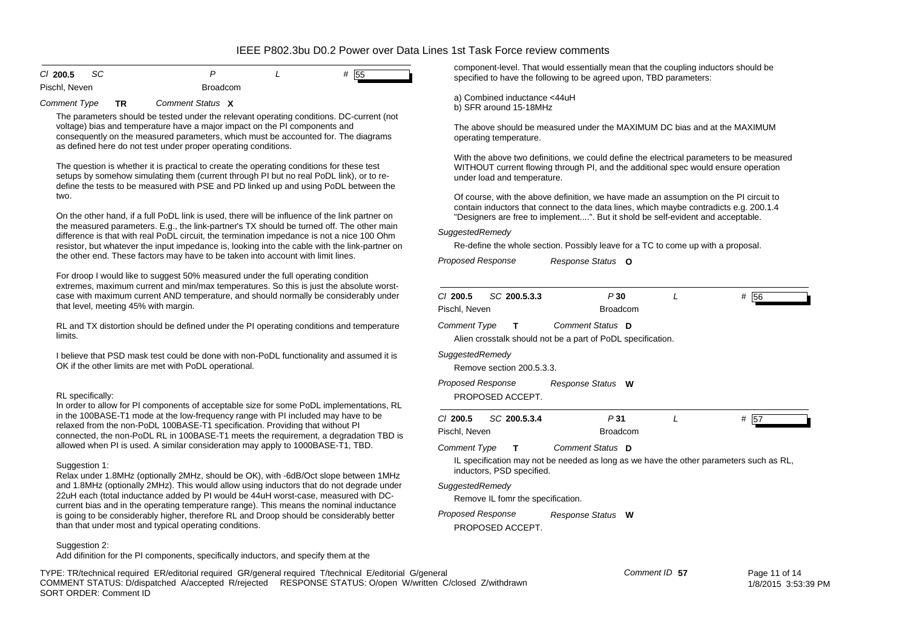| CI 200.5      | -SC |                 |  | 55 |
|---------------|-----|-----------------|--|----|
| Pischl, Neven |     | <b>Broadcom</b> |  |    |

*Comment Type* **TR** *Comment Status***X**

The parameters should be tested under the relevant operating conditions. DC-current (not voltage) bias and temperature have a major impact on the PI components and consequently on the measured parameters, which must be accounted for. The diagrams as defined here do not test under proper operating conditions.

The question is whether it is practical to create the operating conditions for these test setups by somehow simulating them (current through PI but no real PoDL link), or to redefine the tests to be measured with PSE and PD linked up and using PoDL between the two.

On the other hand, if a full PoDL link is used, there will be influence of the link partner on the measured parameters. E.g., the link-partner's TX should be turned off. The other main difference is that with real PoDL circuit, the termination impedance is not a nice 100 Ohm resistor, but whatever the input impedance is, looking into the cable with the link-partner on the other end. These factors may have to be taken into account with limit lines.

For droop I would like to suggest 50% measured under the full operating condition extremes, maximum current and min/max temperatures. So this is just the absolute worstcase with maximum current AND temperature, and should normally be considerably under that level, meeting 45% with margin.

RL and TX distortion should be defined under the PI operating conditions and temperature limits.

I believe that PSD mask test could be done with non-PoDL functionality and assumed it is OK if the other limits are met with PoDL operational.

#### RL specifically:

In order to allow for PI components of acceptable size for some PoDL implementations, RL in the 100BASE-T1 mode at the low-frequency range with PI included may have to be relaxed from the non-PoDL 100BASE-T1 specification. Providing that without PI connected, the non-PoDL RL in 100BASE-T1 meets the requirement, a degradation TBD is allowed when PI is used. A similar consideration may apply to 1000BASE-T1, TBD.

#### Suggestion 1:

Relax under 1.8MHz (optionally 2MHz, should be OK), with -6dB/Oct slope between 1MHz and 1.8MHz (optionally 2MHz). This would allow using inductors that do not degrade under 22uH each (total inductance added by PI would be 44uH worst-case, measured with DCcurrent bias and in the operating temperature range). This means the nominal inductance is going to be considerably higher, therefore RL and Droop should be considerably better than that under most and typical operating conditions.

#### Suggestion 2:

Add difinition for the PI components, specifically inductors, and specify them at the

TYPE: TR/technical required ER/editorial required GR/general required T/technical E/editorial G/general COMMENT STATUS: D/dispatched A/accepted R/rejected RESPONSE STATUS: O/open W/written C/closed Z/withdrawn SORT ORDER: Comment ID

component-level. That would essentially mean that the coupling inductors should be specified to have the following to be agreed upon, TBD parameters:

a) Combined inductance <44uH b) SFR around 15-18MHz

The above should be measured under the MAXIMUM DC bias and at the MAXIMUM operating temperature.

With the above two definitions, we could define the electrical parameters to be measured WITHOUT current flowing through PI, and the additional spec would ensure operation under load and temperature.

Of course, with the above definition, we have made an assumption on the PI circuit to contain inductors that connect to the data lines, which maybe contradicts e.g. 200.1.4 "Designers are free to implement....". But it shold be self-evident and acceptable.

### *SuggestedRemedy*

Re-define the whole section. Possibly leave for a TC to come up with a proposal.

*Proposed Response Response Status* **O**

| $CI$ 200.5<br>SC 200.5.3.3<br>Pischl, Neven                                             | P30<br><b>Broadcom</b> | L                                                                                      | #<br>56       |
|-----------------------------------------------------------------------------------------|------------------------|----------------------------------------------------------------------------------------|---------------|
| <b>Comment Type</b><br>т<br>Alien crosstalk should not be a part of PoDL specification. | Comment Status D       |                                                                                        |               |
| SuggestedRemedy<br>Remove section 200.5.3.3.                                            |                        |                                                                                        |               |
| Proposed Response<br>PROPOSED ACCEPT.                                                   | Response Status W      |                                                                                        |               |
| $Cl$ 200.5<br>SC 200.5.3.4<br>Pischl, Neven                                             | P31<br><b>Broadcom</b> | L                                                                                      | #<br>57       |
| <b>Comment Type</b><br>т<br>inductors, PSD specified.                                   | Comment Status D       | IL specification may not be needed as long as we have the other parameters such as RL, |               |
| SuggestedRemedy<br>Remove IL fomr the specification.                                    |                        |                                                                                        |               |
| Proposed Response<br>PROPOSED ACCEPT.                                                   | Response Status W      |                                                                                        |               |
| eral                                                                                    |                        | Comment ID 57                                                                          | Page 11 of 14 |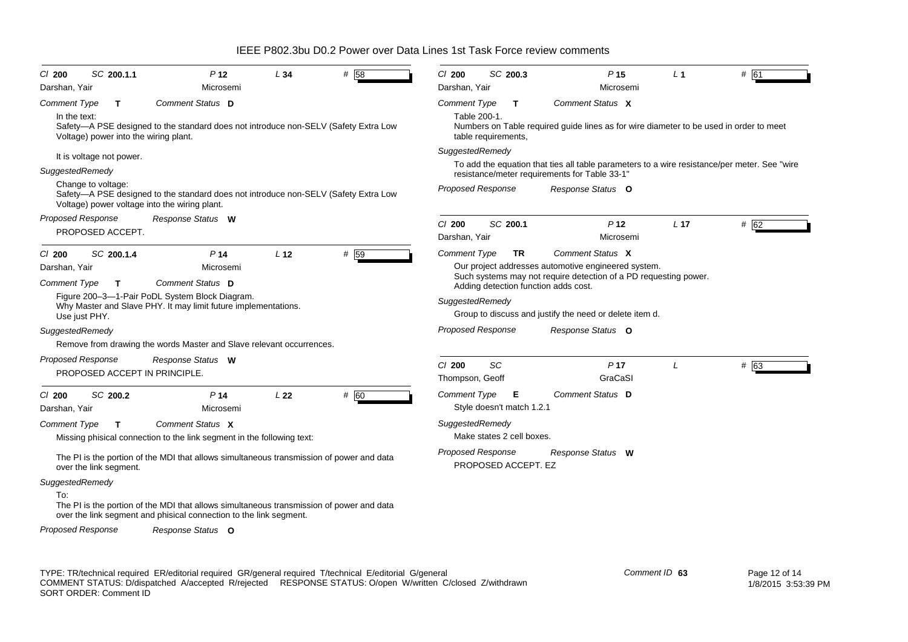| SC 200.1.1<br>$CI$ 200                                                                                                                                     | P <sub>12</sub>                                                                                                                                                | L34                                                                                     | # 58 | $Cl$ 200                                                                                                                                                               | SC 200.3 |                           | P <sub>15</sub>                                                                                                         | $L_1$           | # 61          |  |
|------------------------------------------------------------------------------------------------------------------------------------------------------------|----------------------------------------------------------------------------------------------------------------------------------------------------------------|-----------------------------------------------------------------------------------------|------|------------------------------------------------------------------------------------------------------------------------------------------------------------------------|----------|---------------------------|-------------------------------------------------------------------------------------------------------------------------|-----------------|---------------|--|
| Darshan, Yair                                                                                                                                              | Microsemi                                                                                                                                                      |                                                                                         |      | Darshan, Yair                                                                                                                                                          |          |                           | Microsemi                                                                                                               |                 |               |  |
| <b>Comment Type</b><br>T<br>In the text:<br>Voltage) power into the wiring plant.                                                                          | Comment Status D<br>Safety—A PSE designed to the standard does not introduce non-SELV (Safety Extra Low                                                        |                                                                                         |      | Comment Status X<br>Comment Type<br>T<br>Table 200-1.<br>Numbers on Table required guide lines as for wire diameter to be used in order to meet<br>table requirements, |          |                           |                                                                                                                         |                 |               |  |
| It is voltage not power.                                                                                                                                   |                                                                                                                                                                |                                                                                         |      | SuggestedRemedy                                                                                                                                                        |          |                           |                                                                                                                         |                 |               |  |
| SuggestedRemedy                                                                                                                                            |                                                                                                                                                                |                                                                                         |      | To add the equation that ties all table parameters to a wire resistance/per meter. See "wire"                                                                          |          |                           |                                                                                                                         |                 |               |  |
| Change to voltage:<br>Safety—A PSE designed to the standard does not introduce non-SELV (Safety Extra Low<br>Voltage) power voltage into the wiring plant. |                                                                                                                                                                | resistance/meter requirements for Table 33-1"<br>Proposed Response<br>Response Status O |      |                                                                                                                                                                        |          |                           |                                                                                                                         |                 |               |  |
| <b>Proposed Response</b>                                                                                                                                   | Response Status W                                                                                                                                              |                                                                                         |      | $Cl$ 200                                                                                                                                                               | SC 200.1 |                           | P <sub>12</sub>                                                                                                         | L <sub>17</sub> | # 62          |  |
| PROPOSED ACCEPT.                                                                                                                                           |                                                                                                                                                                |                                                                                         |      | Darshan, Yair                                                                                                                                                          |          |                           | Microsemi                                                                                                               |                 |               |  |
| SC 200.1.4<br>$CI$ 200                                                                                                                                     | P <sub>14</sub>                                                                                                                                                | L <sub>12</sub>                                                                         | # 59 | <b>Comment Type</b>                                                                                                                                                    |          | TR                        | Comment Status X                                                                                                        |                 |               |  |
| Darshan, Yair                                                                                                                                              | Microsemi                                                                                                                                                      |                                                                                         |      |                                                                                                                                                                        |          |                           | Our project addresses automotive engineered system.<br>Such systems may not require detection of a PD requesting power. |                 |               |  |
| <b>Comment Type</b><br>$\mathbf{T}$                                                                                                                        | Comment Status D<br>Figure 200-3-1-Pair PoDL System Block Diagram.                                                                                             |                                                                                         |      |                                                                                                                                                                        |          |                           | Adding detection function adds cost.                                                                                    |                 |               |  |
| Use just PHY.                                                                                                                                              | Why Master and Slave PHY. It may limit future implementations.                                                                                                 |                                                                                         |      | SuggestedRemedy                                                                                                                                                        |          |                           | Group to discuss and justify the need or delete item d.                                                                 |                 |               |  |
| SuggestedRemedy                                                                                                                                            |                                                                                                                                                                |                                                                                         |      | <b>Proposed Response</b>                                                                                                                                               |          |                           | Response Status O                                                                                                       |                 |               |  |
|                                                                                                                                                            | Remove from drawing the words Master and Slave relevant occurrences.                                                                                           |                                                                                         |      |                                                                                                                                                                        |          |                           |                                                                                                                         |                 |               |  |
| Proposed Response<br>PROPOSED ACCEPT IN PRINCIPLE.                                                                                                         | Response Status W                                                                                                                                              |                                                                                         |      | $CI$ 200<br>Thompson, Geoff                                                                                                                                            | SC       |                           | P <sub>17</sub><br>GraCaSI                                                                                              | L               | # 63          |  |
| $CI$ 200<br>SC 200.2                                                                                                                                       | P <sub>14</sub>                                                                                                                                                | L22                                                                                     | # 60 | Comment Type                                                                                                                                                           |          | Е                         | Comment Status D                                                                                                        |                 |               |  |
| Darshan, Yair                                                                                                                                              | Microsemi                                                                                                                                                      |                                                                                         |      |                                                                                                                                                                        |          | Style doesn't match 1.2.1 |                                                                                                                         |                 |               |  |
| Comment Type<br>$\mathbf{T}$                                                                                                                               | Comment Status X<br>Missing phisical connection to the link segment in the following text:                                                                     |                                                                                         |      | SuggestedRemedy                                                                                                                                                        |          | Make states 2 cell boxes. |                                                                                                                         |                 |               |  |
| over the link segment.                                                                                                                                     | The PI is the portion of the MDI that allows simultaneous transmission of power and data                                                                       |                                                                                         |      | <b>Proposed Response</b>                                                                                                                                               |          | PROPOSED ACCEPT. EZ       | Response Status W                                                                                                       |                 |               |  |
| SuggestedRemedy<br>To:                                                                                                                                     | The PI is the portion of the MDI that allows simultaneous transmission of power and data<br>over the link segment and phisical connection to the link segment. |                                                                                         |      |                                                                                                                                                                        |          |                           |                                                                                                                         |                 |               |  |
| <b>Proposed Response</b>                                                                                                                                   | Response Status O                                                                                                                                              |                                                                                         |      |                                                                                                                                                                        |          |                           |                                                                                                                         |                 |               |  |
|                                                                                                                                                            | TYPE: TR/technical required ER/editorial required GR/general required T/technical E/editorial G/general                                                        |                                                                                         |      |                                                                                                                                                                        |          |                           |                                                                                                                         | Comment ID 63   | Page 12 of 14 |  |

COMMENT STATUS: D/dispatched A/accepted R/rejected RESPONSE STATUS: O/open W/written C/closed Z/withdrawn SORT ORDER: Comment ID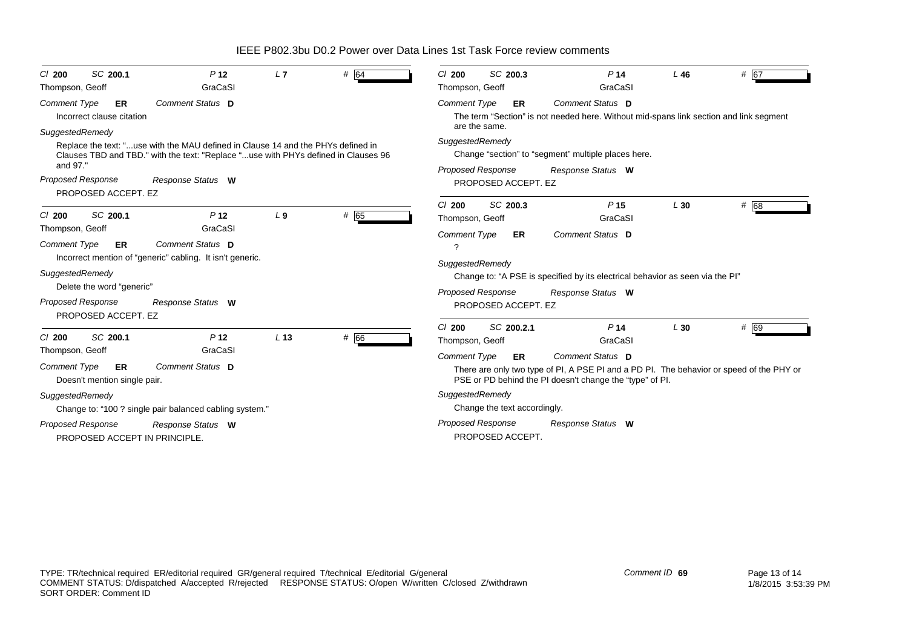| SC 200.1<br>$CI$ 200<br>Thompson, Geoff                   | P <sub>12</sub><br>GraCaSI                                                                                                                                             | L7              | # 64   | SC 200.3<br>C/200<br>Thompson, Geoff              | P <sub>14</sub><br>GraCaSI                                                                                                                                               | L46 | # 67 |
|-----------------------------------------------------------|------------------------------------------------------------------------------------------------------------------------------------------------------------------------|-----------------|--------|---------------------------------------------------|--------------------------------------------------------------------------------------------------------------------------------------------------------------------------|-----|------|
| Comment Type<br>ER<br>Incorrect clause citation           | Comment Status D                                                                                                                                                       |                 |        | <b>Comment Type</b><br>ER.<br>are the same.       | Comment Status D<br>The term "Section" is not needed here. Without mid-spans link section and link segment                                                               |     |      |
| SuggestedRemedy<br>and 97."                               | Replace the text: "use with the MAU defined in Clause 14 and the PHYs defined in<br>Clauses TBD and TBD." with the text: "Replace "use with PHYs defined in Clauses 96 |                 |        | SuggestedRemedy<br>Proposed Response              | Change "section" to "segment" multiple places here.<br>Response Status W                                                                                                 |     |      |
| <b>Proposed Response</b><br>PROPOSED ACCEPT. EZ           | Response Status W                                                                                                                                                      |                 |        | PROPOSED ACCEPT. EZ                               |                                                                                                                                                                          |     |      |
| SC 200.1<br>$Cl$ 200<br>Thompson, Geoff                   | P <sub>12</sub><br>GraCaSI                                                                                                                                             | L <sub>9</sub>  | # $65$ | SC 200.3<br>$Cl$ 200<br>Thompson, Geoff           | P <sub>15</sub><br>GraCaSI<br>Comment Status D                                                                                                                           | L30 | # 68 |
| <b>Comment Type</b><br>ER                                 | Comment Status D<br>Incorrect mention of "generic" cabling. It isn't generic.                                                                                          |                 |        | <b>Comment Type</b><br>ER<br>?<br>SuggestedRemedy |                                                                                                                                                                          |     |      |
| SuggestedRemedy<br>Delete the word "generic"              |                                                                                                                                                                        |                 |        | <b>Proposed Response</b>                          | Change to: "A PSE is specified by its electrical behavior as seen via the PI"<br>Response Status W                                                                       |     |      |
| <b>Proposed Response</b><br>PROPOSED ACCEPT. EZ           | Response Status W                                                                                                                                                      |                 |        | PROPOSED ACCEPT. EZ                               |                                                                                                                                                                          |     |      |
| SC 200.1<br>$Cl$ 200<br>Thompson, Geoff                   | P <sub>12</sub><br>GraCaSI                                                                                                                                             | L <sub>13</sub> | # 66   | $Cl$ 200<br>SC 200.2.1<br>Thompson, Geoff         | P <sub>14</sub><br>GraCaSI                                                                                                                                               | L30 | # 69 |
| Comment Type<br>ER<br>Doesn't mention single pair.        | Comment Status D                                                                                                                                                       |                 |        | <b>Comment Type</b><br><b>ER</b>                  | Comment Status D<br>There are only two type of PI, A PSE PI and a PD PI. The behavior or speed of the PHY or<br>PSE or PD behind the PI doesn't change the "type" of PI. |     |      |
| SuggestedRemedy                                           | Change to: "100 ? single pair balanced cabling system."                                                                                                                |                 |        | SuggestedRemedy<br>Change the text accordingly.   |                                                                                                                                                                          |     |      |
| <b>Proposed Response</b><br>PROPOSED ACCEPT IN PRINCIPLE. | Response Status W                                                                                                                                                      |                 |        | <b>Proposed Response</b><br>PROPOSED ACCEPT.      | Response Status W                                                                                                                                                        |     |      |